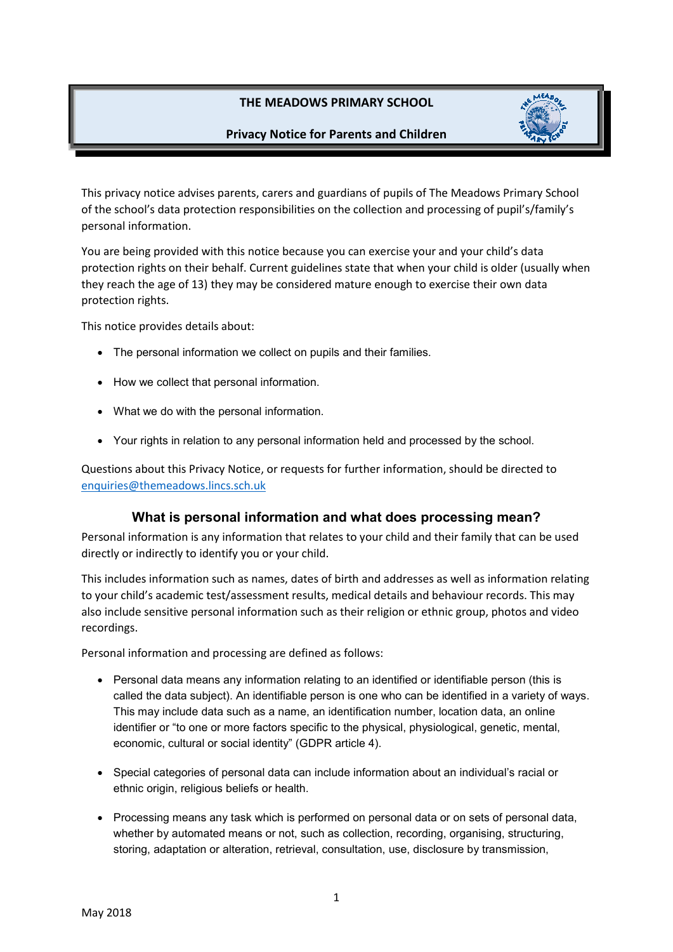# **THE MEADOWS PRIMARY SCHOOL**

### **Privacy Notice for Parents and Children**



This privacy notice advises parents, carers and guardians of pupils of The Meadows Primary School of the school's data protection responsibilities on the collection and processing of pupil's/family's personal information.

You are being provided with this notice because you can exercise your and your child's data protection rights on their behalf. Current guidelines state that when your child is older (usually when they reach the age of 13) they may be considered mature enough to exercise their own data protection rights.

This notice provides details about:

- The personal information we collect on pupils and their families.
- How we collect that personal information.
- What we do with the personal information.
- Your rights in relation to any personal information held and processed by the school.

Questions about this Privacy Notice, or requests for further information, should be directed to enquiries@themeadows.lincs.sch.uk

### **What is personal information and what does processing mean?**

Personal information is any information that relates to your child and their family that can be used directly or indirectly to identify you or your child.

This includes information such as names, dates of birth and addresses as well as information relating to your child's academic test/assessment results, medical details and behaviour records. This may also include sensitive personal information such as their religion or ethnic group, photos and video recordings.

Personal information and processing are defined as follows:

- Personal data means any information relating to an identified or identifiable person (this is called the data subject). An identifiable person is one who can be identified in a variety of ways. This may include data such as a name, an identification number, location data, an online identifier or "to one or more factors specific to the physical, physiological, genetic, mental, economic, cultural or social identity" (GDPR article 4).
- Special categories of personal data can include information about an individual's racial or ethnic origin, religious beliefs or health.
- Processing means any task which is performed on personal data or on sets of personal data, whether by automated means or not, such as collection, recording, organising, structuring, storing, adaptation or alteration, retrieval, consultation, use, disclosure by transmission,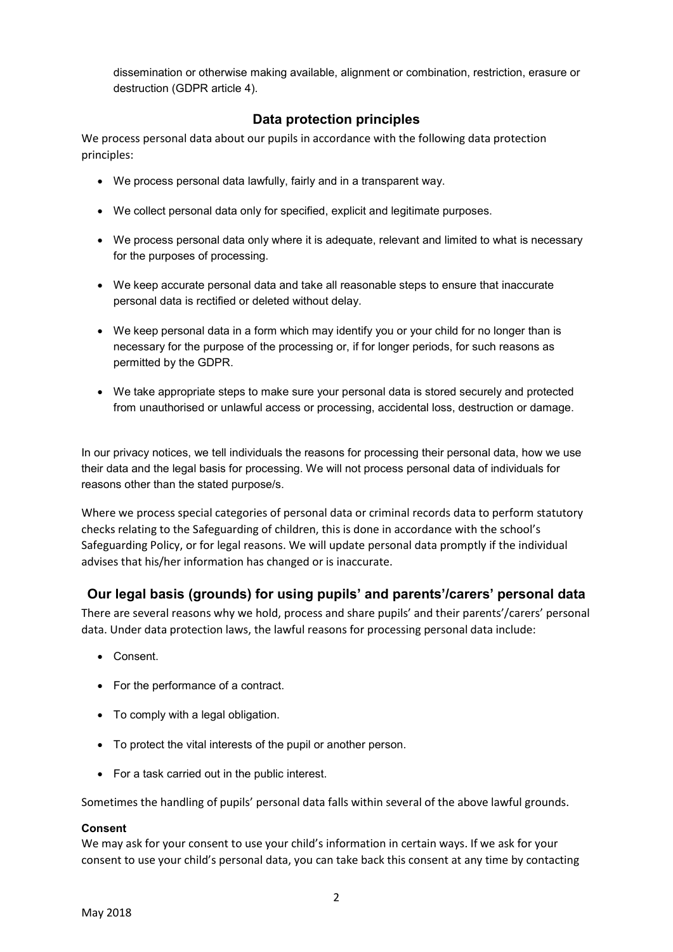dissemination or otherwise making available, alignment or combination, restriction, erasure or destruction (GDPR article 4).

# **Data protection principles**

We process personal data about our pupils in accordance with the following data protection principles:

- We process personal data lawfully, fairly and in a transparent way.
- We collect personal data only for specified, explicit and legitimate purposes.
- We process personal data only where it is adequate, relevant and limited to what is necessary for the purposes of processing.
- We keep accurate personal data and take all reasonable steps to ensure that inaccurate personal data is rectified or deleted without delay.
- We keep personal data in a form which may identify you or your child for no longer than is necessary for the purpose of the processing or, if for longer periods, for such reasons as permitted by the GDPR.
- We take appropriate steps to make sure your personal data is stored securely and protected from unauthorised or unlawful access or processing, accidental loss, destruction or damage.

In our privacy notices, we tell individuals the reasons for processing their personal data, how we use their data and the legal basis for processing. We will not process personal data of individuals for reasons other than the stated purpose/s.

Where we process special categories of personal data or criminal records data to perform statutory checks relating to the Safeguarding of children, this is done in accordance with the school's Safeguarding Policy, or for legal reasons. We will update personal data promptly if the individual advises that his/her information has changed or is inaccurate.

## **Our legal basis (grounds) for using pupils' and parents'/carers' personal data**

There are several reasons why we hold, process and share pupils' and their parents'/carers' personal data. Under data protection laws, the lawful reasons for processing personal data include:

- Consent.
- For the performance of a contract.
- To comply with a legal obligation.
- To protect the vital interests of the pupil or another person.
- For a task carried out in the public interest.

Sometimes the handling of pupils' personal data falls within several of the above lawful grounds.

#### **Consent**

We may ask for your consent to use your child's information in certain ways. If we ask for your consent to use your child's personal data, you can take back this consent at any time by contacting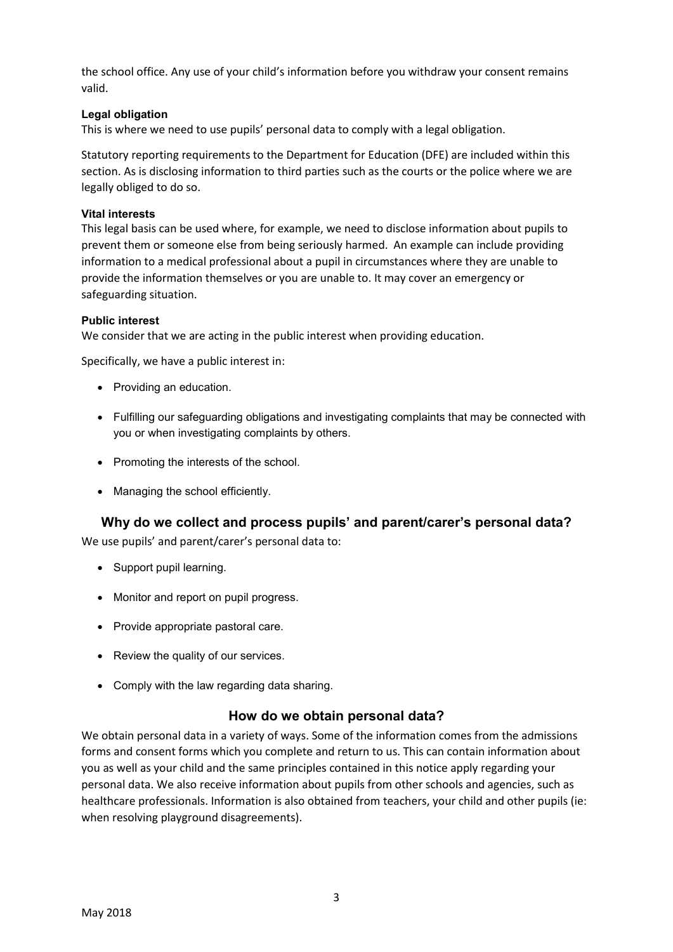the school office. Any use of your child's information before you withdraw your consent remains valid.

### **Legal obligation**

This is where we need to use pupils' personal data to comply with a legal obligation.

Statutory reporting requirements to the Department for Education (DFE) are included within this section. As is disclosing information to third parties such as the courts or the police where we are legally obliged to do so.

#### **Vital interests**

This legal basis can be used where, for example, we need to disclose information about pupils to prevent them or someone else from being seriously harmed. An example can include providing information to a medical professional about a pupil in circumstances where they are unable to provide the information themselves or you are unable to. It may cover an emergency or safeguarding situation.

#### **Public interest**

We consider that we are acting in the public interest when providing education.

Specifically, we have a public interest in:

- Providing an education.
- Fulfilling our safeguarding obligations and investigating complaints that may be connected with you or when investigating complaints by others.
- Promoting the interests of the school.
- Managing the school efficiently.

## **Why do we collect and process pupils' and parent/carer's personal data?**

We use pupils' and parent/carer's personal data to:

- Support pupil learning.
- Monitor and report on pupil progress.
- Provide appropriate pastoral care.
- Review the quality of our services.
- Comply with the law regarding data sharing.

### **How do we obtain personal data?**

We obtain personal data in a variety of ways. Some of the information comes from the admissions forms and consent forms which you complete and return to us. This can contain information about you as well as your child and the same principles contained in this notice apply regarding your personal data. We also receive information about pupils from other schools and agencies, such as healthcare professionals. Information is also obtained from teachers, your child and other pupils (ie: when resolving playground disagreements).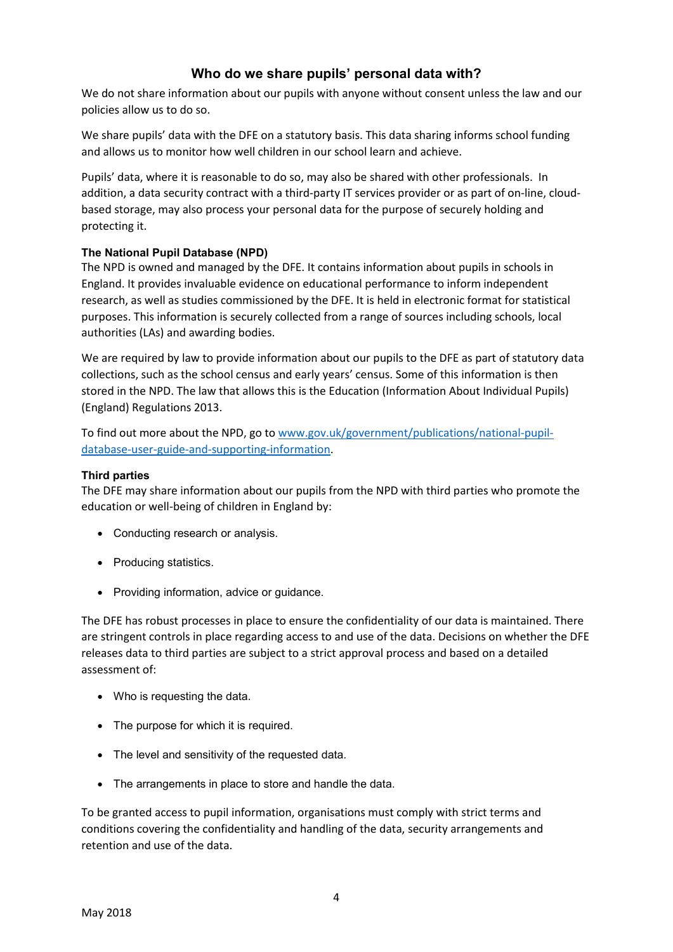# **Who do we share pupils' personal data with?**

We do not share information about our pupils with anyone without consent unless the law and our policies allow us to do so.

We share pupils' data with the DFE on a statutory basis. This data sharing informs school funding and allows us to monitor how well children in our school learn and achieve.

Pupils' data, where it is reasonable to do so, may also be shared with other professionals. In addition, a data security contract with a third-party IT services provider or as part of on-line, cloudbased storage, may also process your personal data for the purpose of securely holding and protecting it.

### **The National Pupil Database (NPD)**

The NPD is owned and managed by the DFE. It contains information about pupils in schools in England. It provides invaluable evidence on educational performance to inform independent research, as well as studies commissioned by the DFE. It is held in electronic format for statistical purposes. This information is securely collected from a range of sources including schools, local authorities (LAs) and awarding bodies.

We are required by law to provide information about our pupils to the DFE as part of statutory data collections, such as the school census and early years' census. Some of this information is then stored in the NPD. The law that allows this is the Education (Information About Individual Pupils) (England) Regulations 2013.

To find out more about the NPD, go to www.gov.uk/government/publications/national-pupildatabase-user-guide-and-supporting-information.

#### **Third parties**

The DFE may share information about our pupils from the NPD with third parties who promote the education or well-being of children in England by:

- Conducting research or analysis.
- Producing statistics.
- Providing information, advice or guidance.

The DFE has robust processes in place to ensure the confidentiality of our data is maintained. There are stringent controls in place regarding access to and use of the data. Decisions on whether the DFE releases data to third parties are subject to a strict approval process and based on a detailed assessment of:

- Who is requesting the data.
- The purpose for which it is required.
- The level and sensitivity of the requested data.
- The arrangements in place to store and handle the data.

To be granted access to pupil information, organisations must comply with strict terms and conditions covering the confidentiality and handling of the data, security arrangements and retention and use of the data.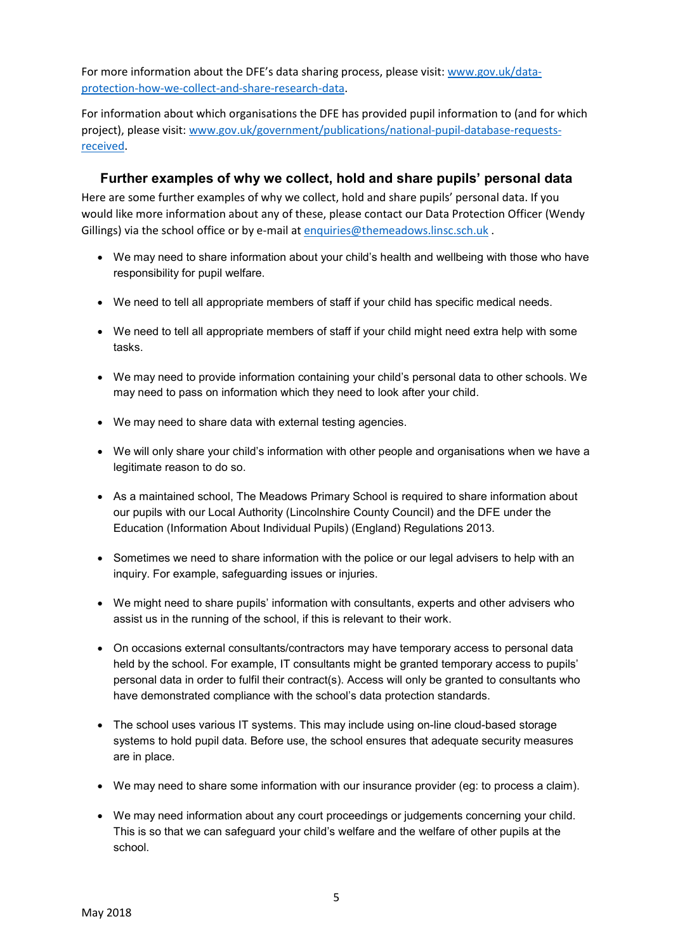For more information about the DFE's data sharing process, please visit: www.gov.uk/dataprotection-how-we-collect-and-share-research-data.

For information about which organisations the DFE has provided pupil information to (and for which project), please visit: www.gov.uk/government/publications/national-pupil-database-requestsreceived.

### **Further examples of why we collect, hold and share pupils' personal data**

Here are some further examples of why we collect, hold and share pupils' personal data. If you would like more information about any of these, please contact our Data Protection Officer (Wendy Gillings) via the school office or by e-mail at enquiries@themeadows.linsc.sch.uk .

- We may need to share information about your child's health and wellbeing with those who have responsibility for pupil welfare.
- We need to tell all appropriate members of staff if your child has specific medical needs.
- We need to tell all appropriate members of staff if your child might need extra help with some tasks.
- We may need to provide information containing your child's personal data to other schools. We may need to pass on information which they need to look after your child.
- We may need to share data with external testing agencies.
- We will only share your child's information with other people and organisations when we have a legitimate reason to do so.
- As a maintained school, The Meadows Primary School is required to share information about our pupils with our Local Authority (Lincolnshire County Council) and the DFE under the Education (Information About Individual Pupils) (England) Regulations 2013.
- Sometimes we need to share information with the police or our legal advisers to help with an inquiry. For example, safeguarding issues or injuries.
- We might need to share pupils' information with consultants, experts and other advisers who assist us in the running of the school, if this is relevant to their work.
- On occasions external consultants/contractors may have temporary access to personal data held by the school. For example, IT consultants might be granted temporary access to pupils' personal data in order to fulfil their contract(s). Access will only be granted to consultants who have demonstrated compliance with the school's data protection standards.
- The school uses various IT systems. This may include using on-line cloud-based storage systems to hold pupil data. Before use, the school ensures that adequate security measures are in place.
- We may need to share some information with our insurance provider (eg: to process a claim).
- We may need information about any court proceedings or judgements concerning your child. This is so that we can safeguard your child's welfare and the welfare of other pupils at the school.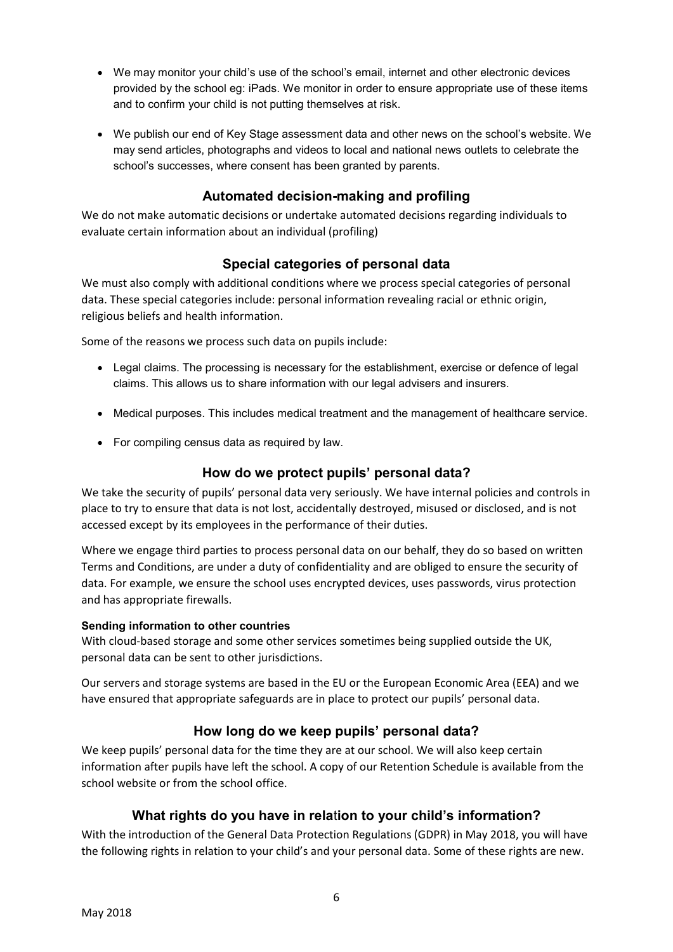- We may monitor your child's use of the school's email, internet and other electronic devices provided by the school eg: iPads. We monitor in order to ensure appropriate use of these items and to confirm your child is not putting themselves at risk.
- We publish our end of Key Stage assessment data and other news on the school's website. We may send articles, photographs and videos to local and national news outlets to celebrate the school's successes, where consent has been granted by parents.

## **Automated decision-making and profiling**

We do not make automatic decisions or undertake automated decisions regarding individuals to evaluate certain information about an individual (profiling)

# **Special categories of personal data**

We must also comply with additional conditions where we process special categories of personal data. These special categories include: personal information revealing racial or ethnic origin, religious beliefs and health information.

Some of the reasons we process such data on pupils include:

- Legal claims. The processing is necessary for the establishment, exercise or defence of legal claims. This allows us to share information with our legal advisers and insurers.
- Medical purposes. This includes medical treatment and the management of healthcare service.
- For compiling census data as required by law.

## **How do we protect pupils' personal data?**

We take the security of pupils' personal data very seriously. We have internal policies and controls in place to try to ensure that data is not lost, accidentally destroyed, misused or disclosed, and is not accessed except by its employees in the performance of their duties.

Where we engage third parties to process personal data on our behalf, they do so based on written Terms and Conditions, are under a duty of confidentiality and are obliged to ensure the security of data. For example, we ensure the school uses encrypted devices, uses passwords, virus protection and has appropriate firewalls.

### **Sending information to other countries**

With cloud-based storage and some other services sometimes being supplied outside the UK, personal data can be sent to other jurisdictions.

Our servers and storage systems are based in the EU or the European Economic Area (EEA) and we have ensured that appropriate safeguards are in place to protect our pupils' personal data.

# **How long do we keep pupils' personal data?**

We keep pupils' personal data for the time they are at our school. We will also keep certain information after pupils have left the school. A copy of our Retention Schedule is available from the school website or from the school office.

## **What rights do you have in rela**t**ion to your child's information?**

With the introduction of the General Data Protection Regulations (GDPR) in May 2018, you will have the following rights in relation to your child's and your personal data. Some of these rights are new.